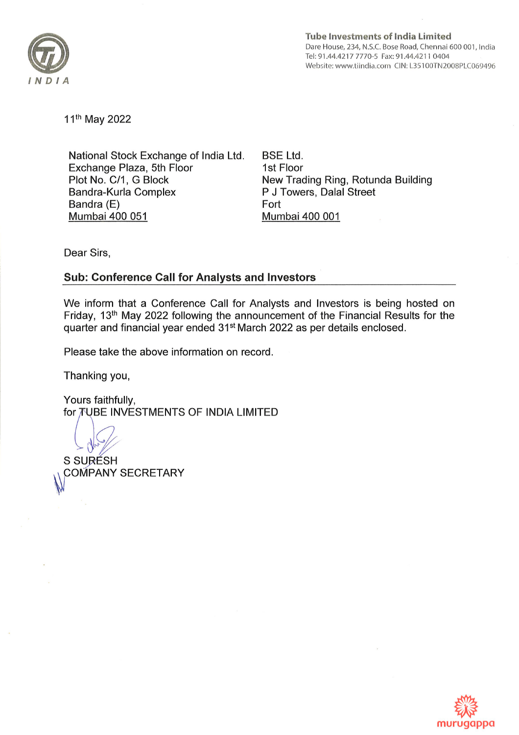

Tube lnvestments of lndia Limited Dare House, 234, N.S.C. Bose Road, Chennai 600 001, lndia Tel:91 .44.4217 7770-5 Fax:91 .44.4211 0404 Website: www.tiindia.com CIN: L35100TN2008PLC069496

11th May 2022

National Stock Exchange of lndia Ltd Exchange Plaza, 5th Floor Plot No. C/1, G Block Bandra-Kurla Complex Bandra (E) Mumbai400 051

BSE Ltd. 1st Floor New Trading Ring, Rotunda Building P J Towers, Dalal Street Fort Mumbai 400 001

Dear Sirs,

## Sub: Conference Call for Analysts and Investors

We inform that a Conference Call for Analysts and lnvestors is being hosted on Friday, 13th May 2022 following the announcement of the Financial Results for the quarter and financial year ended 31st March 2022 as per details enclosed.

Please take the above information on record

Thanking you,

Yours faithfully, for TUBE INVESTMENTS OF INDIA LIMITED

S SURÉSH **COMPANY SECRETARY**